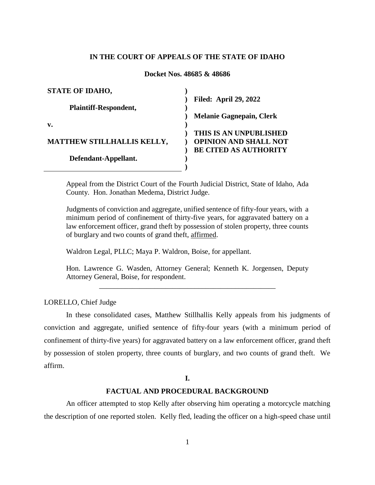# **IN THE COURT OF APPEALS OF THE STATE OF IDAHO**

### **Docket Nos. 48685 & 48686**

| <b>STATE OF IDAHO,</b>            |                                 |
|-----------------------------------|---------------------------------|
|                                   | <b>Filed: April 29, 2022</b>    |
| Plaintiff-Respondent,             |                                 |
|                                   | <b>Melanie Gagnepain, Clerk</b> |
| v.                                |                                 |
|                                   | THIS IS AN UNPUBLISHED          |
| <b>MATTHEW STILLHALLIS KELLY,</b> | <b>OPINION AND SHALL NOT</b>    |
|                                   | <b>BE CITED AS AUTHORITY</b>    |
| Defendant-Appellant.              |                                 |
|                                   |                                 |

Appeal from the District Court of the Fourth Judicial District, State of Idaho, Ada County. Hon. Jonathan Medema, District Judge.

Judgments of conviction and aggregate, unified sentence of fifty-four years, with a minimum period of confinement of thirty-five years, for aggravated battery on a law enforcement officer, grand theft by possession of stolen property, three counts of burglary and two counts of grand theft, affirmed.

Waldron Legal, PLLC; Maya P. Waldron, Boise, for appellant.

Hon. Lawrence G. Wasden, Attorney General; Kenneth K. Jorgensen, Deputy Attorney General, Boise, for respondent. \_\_\_\_\_\_\_\_\_\_\_\_\_\_\_\_\_\_\_\_\_\_\_\_\_\_\_\_\_\_\_\_\_\_\_\_\_\_\_\_\_\_\_\_\_\_\_\_

LORELLO, Chief Judge

In these consolidated cases, Matthew Stillhallis Kelly appeals from his judgments of conviction and aggregate, unified sentence of fifty-four years (with a minimum period of confinement of thirty-five years) for aggravated battery on a law enforcement officer, grand theft by possession of stolen property, three counts of burglary, and two counts of grand theft. We affirm.

# **I.**

# **FACTUAL AND PROCEDURAL BACKGROUND**

An officer attempted to stop Kelly after observing him operating a motorcycle matching the description of one reported stolen. Kelly fled, leading the officer on a high-speed chase until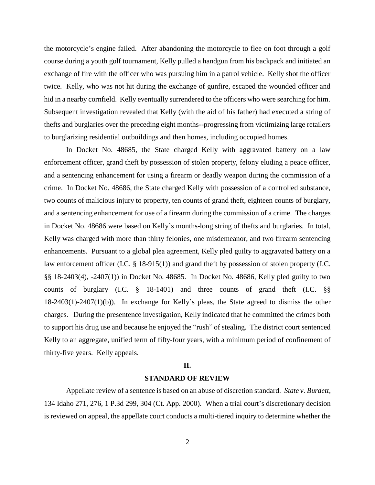the motorcycle's engine failed. After abandoning the motorcycle to flee on foot through a golf course during a youth golf tournament, Kelly pulled a handgun from his backpack and initiated an exchange of fire with the officer who was pursuing him in a patrol vehicle. Kelly shot the officer twice. Kelly, who was not hit during the exchange of gunfire, escaped the wounded officer and hid in a nearby cornfield. Kelly eventually surrendered to the officers who were searching for him. Subsequent investigation revealed that Kelly (with the aid of his father) had executed a string of thefts and burglaries over the preceding eight months--progressing from victimizing large retailers to burglarizing residential outbuildings and then homes, including occupied homes.

In Docket No. 48685, the State charged Kelly with aggravated battery on a law enforcement officer, grand theft by possession of stolen property, felony eluding a peace officer, and a sentencing enhancement for using a firearm or deadly weapon during the commission of a crime. In Docket No. 48686, the State charged Kelly with possession of a controlled substance, two counts of malicious injury to property, ten counts of grand theft, eighteen counts of burglary, and a sentencing enhancement for use of a firearm during the commission of a crime. The charges in Docket No. 48686 were based on Kelly's months-long string of thefts and burglaries. In total, Kelly was charged with more than thirty felonies, one misdemeanor, and two firearm sentencing enhancements. Pursuant to a global plea agreement, Kelly pled guilty to aggravated battery on a law enforcement officer (I.C. § 18-915(1)) and grand theft by possession of stolen property (I.C. §§ 18-2403(4), -2407(1)) in Docket No. 48685. In Docket No. 48686, Kelly pled guilty to two counts of burglary (I.C. § 18-1401) and three counts of grand theft (I.C. §§ 18-2403(1)-2407(1)(b)). In exchange for Kelly's pleas, the State agreed to dismiss the other charges. During the presentence investigation, Kelly indicated that he committed the crimes both to support his drug use and because he enjoyed the "rush" of stealing. The district court sentenced Kelly to an aggregate, unified term of fifty-four years, with a minimum period of confinement of thirty-five years. Kelly appeals.

#### **II.**

### **STANDARD OF REVIEW**

Appellate review of a sentence is based on an abuse of discretion standard. *State v. Burdett*, 134 Idaho 271, 276, 1 P.3d 299, 304 (Ct. App. 2000). When a trial court's discretionary decision is reviewed on appeal, the appellate court conducts a multi-tiered inquiry to determine whether the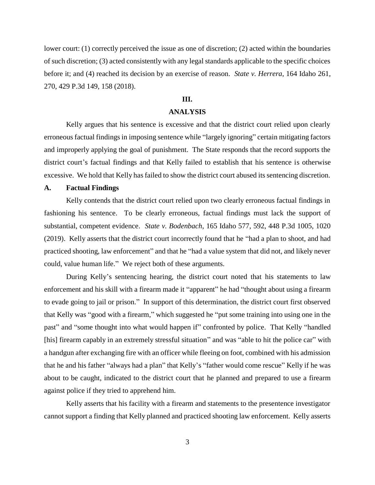lower court: (1) correctly perceived the issue as one of discretion; (2) acted within the boundaries of such discretion; (3) acted consistently with any legal standards applicable to the specific choices before it; and (4) reached its decision by an exercise of reason. *State v. Herrera*, 164 Idaho 261, 270, 429 P.3d 149, 158 (2018).

# **III.**

### **ANALYSIS**

Kelly argues that his sentence is excessive and that the district court relied upon clearly erroneous factual findings in imposing sentence while "largely ignoring" certain mitigating factors and improperly applying the goal of punishment. The State responds that the record supports the district court's factual findings and that Kelly failed to establish that his sentence is otherwise excessive. We hold that Kelly has failed to show the district court abused its sentencing discretion.

### **A. Factual Findings**

Kelly contends that the district court relied upon two clearly erroneous factual findings in fashioning his sentence. To be clearly erroneous, factual findings must lack the support of substantial, competent evidence. *State v. Bodenbach*, 165 Idaho 577, 592, 448 P.3d 1005, 1020 (2019). Kelly asserts that the district court incorrectly found that he "had a plan to shoot, and had practiced shooting, law enforcement" and that he "had a value system that did not, and likely never could, value human life." We reject both of these arguments.

During Kelly's sentencing hearing, the district court noted that his statements to law enforcement and his skill with a firearm made it "apparent" he had "thought about using a firearm to evade going to jail or prison." In support of this determination, the district court first observed that Kelly was "good with a firearm," which suggested he "put some training into using one in the past" and "some thought into what would happen if" confronted by police. That Kelly "handled [his] firearm capably in an extremely stressful situation" and was "able to hit the police car" with a handgun after exchanging fire with an officer while fleeing on foot, combined with his admission that he and his father "always had a plan" that Kelly's "father would come rescue" Kelly if he was about to be caught, indicated to the district court that he planned and prepared to use a firearm against police if they tried to apprehend him.

Kelly asserts that his facility with a firearm and statements to the presentence investigator cannot support a finding that Kelly planned and practiced shooting law enforcement. Kelly asserts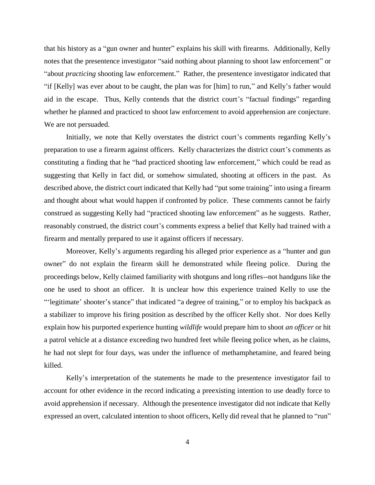that his history as a "gun owner and hunter" explains his skill with firearms. Additionally, Kelly notes that the presentence investigator "said nothing about planning to shoot law enforcement" or "about *practicing* shooting law enforcement." Rather, the presentence investigator indicated that "if [Kelly] was ever about to be caught, the plan was for [him] to run," and Kelly's father would aid in the escape. Thus, Kelly contends that the district court's "factual findings" regarding whether he planned and practiced to shoot law enforcement to avoid apprehension are conjecture. We are not persuaded.

Initially, we note that Kelly overstates the district court's comments regarding Kelly's preparation to use a firearm against officers. Kelly characterizes the district court's comments as constituting a finding that he "had practiced shooting law enforcement," which could be read as suggesting that Kelly in fact did, or somehow simulated, shooting at officers in the past. As described above, the district court indicated that Kelly had "put some training" into using a firearm and thought about what would happen if confronted by police. These comments cannot be fairly construed as suggesting Kelly had "practiced shooting law enforcement" as he suggests. Rather, reasonably construed, the district court's comments express a belief that Kelly had trained with a firearm and mentally prepared to use it against officers if necessary.

Moreover, Kelly's arguments regarding his alleged prior experience as a "hunter and gun owner" do not explain the firearm skill he demonstrated while fleeing police. During the proceedings below, Kelly claimed familiarity with shotguns and long rifles--not handguns like the one he used to shoot an officer. It is unclear how this experience trained Kelly to use the "'legitimate' shooter's stance" that indicated "a degree of training," or to employ his backpack as a stabilizer to improve his firing position as described by the officer Kelly shot. Nor does Kelly explain how his purported experience hunting *wildlife* would prepare him to shoot *an officer* or hit a patrol vehicle at a distance exceeding two hundred feet while fleeing police when, as he claims, he had not slept for four days, was under the influence of methamphetamine, and feared being killed.

Kelly's interpretation of the statements he made to the presentence investigator fail to account for other evidence in the record indicating a preexisting intention to use deadly force to avoid apprehension if necessary. Although the presentence investigator did not indicate that Kelly expressed an overt, calculated intention to shoot officers, Kelly did reveal that he planned to "run"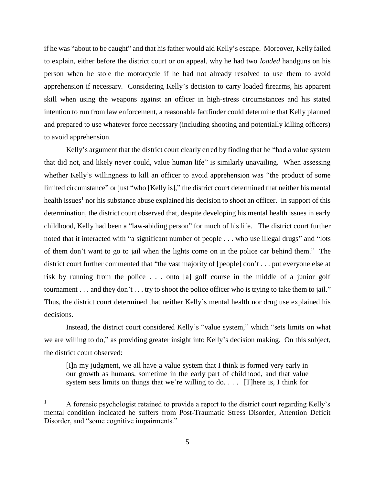if he was "about to be caught" and that his father would aid Kelly's escape. Moreover, Kelly failed to explain, either before the district court or on appeal, why he had two *loaded* handguns on his person when he stole the motorcycle if he had not already resolved to use them to avoid apprehension if necessary. Considering Kelly's decision to carry loaded firearms, his apparent skill when using the weapons against an officer in high-stress circumstances and his stated intention to run from law enforcement, a reasonable factfinder could determine that Kelly planned and prepared to use whatever force necessary (including shooting and potentially killing officers) to avoid apprehension.

Kelly's argument that the district court clearly erred by finding that he "had a value system that did not, and likely never could, value human life" is similarly unavailing. When assessing whether Kelly's willingness to kill an officer to avoid apprehension was "the product of some limited circumstance" or just "who [Kelly is]," the district court determined that neither his mental health issues<sup>1</sup> nor his substance abuse explained his decision to shoot an officer. In support of this determination, the district court observed that, despite developing his mental health issues in early childhood, Kelly had been a "law-abiding person" for much of his life. The district court further noted that it interacted with "a significant number of people . . . who use illegal drugs" and "lots of them don't want to go to jail when the lights come on in the police car behind them." The district court further commented that "the vast majority of [people] don't . . . put everyone else at risk by running from the police . . . onto [a] golf course in the middle of a junior golf tournament . . . and they don't . . . try to shoot the police officer who is trying to take them to jail." Thus, the district court determined that neither Kelly's mental health nor drug use explained his decisions.

Instead, the district court considered Kelly's "value system," which "sets limits on what we are willing to do," as providing greater insight into Kelly's decision making. On this subject, the district court observed:

[I]n my judgment, we all have a value system that I think is formed very early in our growth as humans, sometime in the early part of childhood, and that value system sets limits on things that we're willing to do. . . . [T]here is, I think for

 $\overline{a}$ 

<sup>1</sup> A forensic psychologist retained to provide a report to the district court regarding Kelly's mental condition indicated he suffers from Post-Traumatic Stress Disorder, Attention Deficit Disorder, and "some cognitive impairments."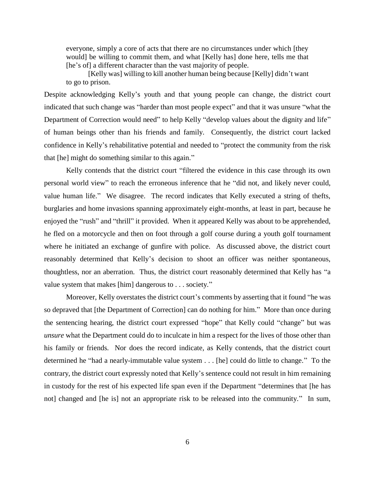everyone, simply a core of acts that there are no circumstances under which [they would] be willing to commit them, and what [Kelly has] done here, tells me that [he's of] a different character than the vast majority of people.

[Kelly was] willing to kill another human being because [Kelly] didn't want to go to prison.

Despite acknowledging Kelly's youth and that young people can change, the district court indicated that such change was "harder than most people expect" and that it was unsure "what the Department of Correction would need" to help Kelly "develop values about the dignity and life" of human beings other than his friends and family. Consequently, the district court lacked confidence in Kelly's rehabilitative potential and needed to "protect the community from the risk that [he] might do something similar to this again."

Kelly contends that the district court "filtered the evidence in this case through its own personal world view" to reach the erroneous inference that he "did not, and likely never could, value human life." We disagree. The record indicates that Kelly executed a string of thefts, burglaries and home invasions spanning approximately eight-months, at least in part, because he enjoyed the "rush" and "thrill" it provided. When it appeared Kelly was about to be apprehended, he fled on a motorcycle and then on foot through a golf course during a youth golf tournament where he initiated an exchange of gunfire with police. As discussed above, the district court reasonably determined that Kelly's decision to shoot an officer was neither spontaneous, thoughtless, nor an aberration. Thus, the district court reasonably determined that Kelly has "a value system that makes [him] dangerous to . . . society."

Moreover, Kelly overstates the district court's comments by asserting that it found "he was so depraved that [the Department of Correction] can do nothing for him." More than once during the sentencing hearing, the district court expressed "hope" that Kelly could "change" but was *unsure* what the Department could do to inculcate in him a respect for the lives of those other than his family or friends. Nor does the record indicate, as Kelly contends, that the district court determined he "had a nearly-immutable value system . . . [he] could do little to change." To the contrary, the district court expressly noted that Kelly's sentence could not result in him remaining in custody for the rest of his expected life span even if the Department "determines that [he has not] changed and [he is] not an appropriate risk to be released into the community." In sum,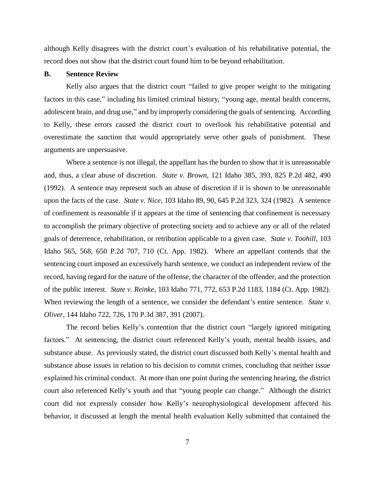although Kelly disagrees with the district court's evaluation of his rehabilitative potential, the record does not show that the district court found him to be beyond rehabilitation.

### **B. Sentence Review**

Kelly also argues that the district court "failed to give proper weight to the mitigating factors in this case," including his limited criminal history, "young age, mental health concerns, adolescent brain, and drug use," and by improperly considering the goals of sentencing. According to Kelly, these errors caused the district court to overlook his rehabilitative potential and overestimate the sanction that would appropriately serve other goals of punishment. These arguments are unpersuasive.

Where a sentence is not illegal, the appellant has the burden to show that it is unreasonable and, thus, a clear abuse of discretion. *State v. Brown*, 121 Idaho 385, 393, 825 P.2d 482, 490 (1992). A sentence may represent such an abuse of discretion if it is shown to be unreasonable upon the facts of the case. *State v. Nice*, 103 Idaho 89, 90, 645 P.2d 323, 324 (1982). A sentence of confinement is reasonable if it appears at the time of sentencing that confinement is necessary to accomplish the primary objective of protecting society and to achieve any or all of the related goals of deterrence, rehabilitation, or retribution applicable to a given case. *State v. Toohill*, 103 Idaho 565, 568, 650 P.2d 707, 710 (Ct. App. 1982). Where an appellant contends that the sentencing court imposed an excessively harsh sentence, we conduct an independent review of the record, having regard for the nature of the offense, the character of the offender, and the protection of the public interest. *State v. Reinke*, 103 Idaho 771, 772, 653 P.2d 1183, 1184 (Ct. App. 1982). When reviewing the length of a sentence, we consider the defendant's entire sentence. *State v*. *Oliver*, 144 Idaho 722, 726, 170 P.3d 387, 391 (2007).

The record belies Kelly's contention that the district court "largely ignored mitigating factors." At sentencing, the district court referenced Kelly's youth, mental health issues, and substance abuse. As previously stated, the district court discussed both Kelly's mental health and substance abuse issues in relation to his decision to commit crimes, concluding that neither issue explained his criminal conduct. At more than one point during the sentencing hearing, the district court also referenced Kelly's youth and that "young people can change." Although the district court did not expressly consider how Kelly's neurophysiological development affected his behavior, it discussed at length the mental health evaluation Kelly submitted that contained the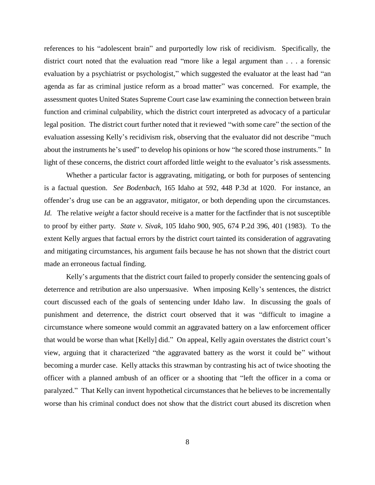references to his "adolescent brain" and purportedly low risk of recidivism. Specifically, the district court noted that the evaluation read "more like a legal argument than . . . a forensic evaluation by a psychiatrist or psychologist," which suggested the evaluator at the least had "an agenda as far as criminal justice reform as a broad matter" was concerned. For example, the assessment quotes United States Supreme Court case law examining the connection between brain function and criminal culpability, which the district court interpreted as advocacy of a particular legal position. The district court further noted that it reviewed "with some care" the section of the evaluation assessing Kelly's recidivism risk, observing that the evaluator did not describe "much about the instruments he's used" to develop his opinions or how "he scored those instruments." In light of these concerns, the district court afforded little weight to the evaluator's risk assessments.

Whether a particular factor is aggravating, mitigating, or both for purposes of sentencing is a factual question. *See Bodenbach*, 165 Idaho at 592, 448 P.3d at 1020. For instance, an offender's drug use can be an aggravator, mitigator, or both depending upon the circumstances. *Id.* The relative *weight* a factor should receive is a matter for the factfinder that is not susceptible to proof by either party. *State v. Sivak*, 105 Idaho 900, 905, 674 P.2d 396, 401 (1983). To the extent Kelly argues that factual errors by the district court tainted its consideration of aggravating and mitigating circumstances, his argument fails because he has not shown that the district court made an erroneous factual finding.

Kelly's arguments that the district court failed to properly consider the sentencing goals of deterrence and retribution are also unpersuasive. When imposing Kelly's sentences, the district court discussed each of the goals of sentencing under Idaho law. In discussing the goals of punishment and deterrence, the district court observed that it was "difficult to imagine a circumstance where someone would commit an aggravated battery on a law enforcement officer that would be worse than what [Kelly] did." On appeal, Kelly again overstates the district court's view, arguing that it characterized "the aggravated battery as the worst it could be" without becoming a murder case. Kelly attacks this strawman by contrasting his act of twice shooting the officer with a planned ambush of an officer or a shooting that "left the officer in a coma or paralyzed." That Kelly can invent hypothetical circumstances that he believes to be incrementally worse than his criminal conduct does not show that the district court abused its discretion when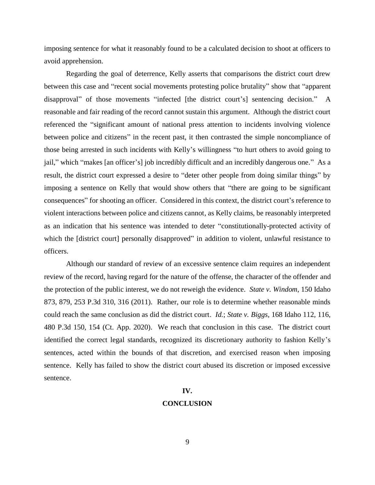imposing sentence for what it reasonably found to be a calculated decision to shoot at officers to avoid apprehension.

Regarding the goal of deterrence, Kelly asserts that comparisons the district court drew between this case and "recent social movements protesting police brutality" show that "apparent disapproval" of those movements "infected [the district court's] sentencing decision." A reasonable and fair reading of the record cannot sustain this argument. Although the district court referenced the "significant amount of national press attention to incidents involving violence between police and citizens" in the recent past, it then contrasted the simple noncompliance of those being arrested in such incidents with Kelly's willingness "to hurt others to avoid going to jail," which "makes [an officer's] job incredibly difficult and an incredibly dangerous one." As a result, the district court expressed a desire to "deter other people from doing similar things" by imposing a sentence on Kelly that would show others that "there are going to be significant consequences" for shooting an officer. Considered in this context, the district court's reference to violent interactions between police and citizens cannot, as Kelly claims, be reasonably interpreted as an indication that his sentence was intended to deter "constitutionally-protected activity of which the [district court] personally disapproved" in addition to violent, unlawful resistance to officers.

Although our standard of review of an excessive sentence claim requires an independent review of the record, having regard for the nature of the offense, the character of the offender and the protection of the public interest, we do not reweigh the evidence. *State v. Windom*, 150 Idaho 873, 879, 253 P.3d 310, 316 (2011). Rather, our role is to determine whether reasonable minds could reach the same conclusion as did the district court. *Id.*; *State v. Biggs*, 168 Idaho 112, 116, 480 P.3d 150, 154 (Ct. App. 2020). We reach that conclusion in this case. The district court identified the correct legal standards, recognized its discretionary authority to fashion Kelly's sentences, acted within the bounds of that discretion, and exercised reason when imposing sentence. Kelly has failed to show the district court abused its discretion or imposed excessive sentence.

# **IV.**

#### **CONCLUSION**